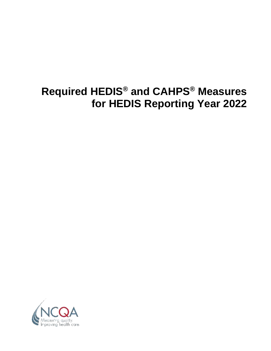# **Required HEDIS® and CAHPS® Measures for HEDIS Reporting Year 2022**

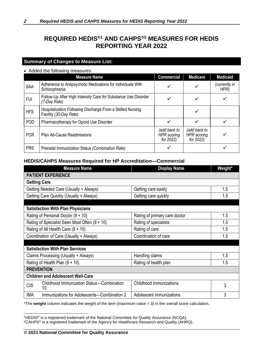# **REQUIRED HEDIS®1 AND CAHPS®2 MEASURES FOR HEDIS REPORTING YEAR 2022**

# **Summary of Changes to Measure List:**

#### • Added the following measures.

|            | <b>Measure Name</b>                                                                  | <b>Commercial</b>                               | <b>Medicare</b>                                 | <b>Medicaid</b>       |
|------------|--------------------------------------------------------------------------------------|-------------------------------------------------|-------------------------------------------------|-----------------------|
| SAA        | Adherence to Antipsychotic Medications for Individuals With<br>Schizophrenia         | ✓                                               |                                                 | (currently in<br>HPR) |
| <b>FUI</b> | Follow-Up After High Intensity Care for Substance Use Disorder<br>(7-Day Rate)       |                                                 |                                                 |                       |
| <b>HFS</b> | Hospitalization Following Discharge From a Skilled Nursing<br>Facility (30-Day Rate) |                                                 |                                                 |                       |
| POD        | Pharmacotherapy for Opioid Use Disorder                                              | ✓                                               |                                                 |                       |
| <b>PCR</b> | <b>Plan All-Cause Readmissions</b>                                                   | (add back to<br><b>HPR</b> scoring<br>for 2022) | (add back to<br><b>HPR</b> scoring<br>for 2022) |                       |
| <b>PRS</b> | Prenatal Immunization Status (Combination Rate)                                      | ✓                                               |                                                 |                       |

## **HEDIS/CAHPS Measures Required for HP Accreditation—Commercial**

| <b>Measure Name</b>                                           | <b>Display Name</b>           | Weight* |
|---------------------------------------------------------------|-------------------------------|---------|
| <b>PATIENT EXPERIENCE</b>                                     |                               |         |
| <b>Getting Care</b>                                           |                               |         |
| Getting Needed Care (Usually + Always)                        | Getting care easily           | 1.5     |
| Getting Care Quickly (Usually + Always)                       | Getting care quickly          | 1.5     |
|                                                               |                               |         |
| <b>Satisfaction With Plan Physicians</b>                      |                               |         |
| Rating of Personal Doctor $(9 + 10)$                          | Rating of primary care doctor | 1.5     |
| Rating of Specialist Seen Most Often (9 + 10)                 | Rating of specialists         | 1.5     |
| Rating of All Health Care $(9 + 10)$                          | Rating of care                | 1.5     |
| Coordination of Care (Usually + Always)                       | Coordination of care          | 1.5     |
|                                                               |                               |         |
| <b>Satisfaction With Plan Services</b>                        |                               |         |
| Claims Processing (Usually + Always)                          | Handling claims               | 1.5     |
| Rating of Health Plan $(9 + 10)$                              | Rating of health plan         | 1.5     |
| <b>PREVENTION</b>                                             |                               |         |
| <b>Children and Adolescent Well-Care</b>                      |                               |         |
| Childhood Immunization Status-Combination<br><b>CIS</b><br>10 | Childhood immunizations       | 3       |
| <b>IMA</b><br>Immunizations for Adolescents-Combination 2     | Adolescent immunizations      | 3       |

<sup>1</sup>HEDIS® is a registered trademark of the National Committee for Quality Assurance (NCQA).

<sup>2</sup>CAHPS® is a registered trademark of the Agency for Healthcare Research and Quality (AHRQ).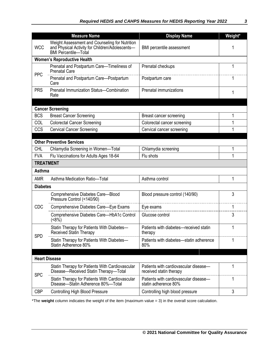|                 | <b>Measure Name</b>                                                                                                              | <b>Display Name</b>                                              | Weight* |
|-----------------|----------------------------------------------------------------------------------------------------------------------------------|------------------------------------------------------------------|---------|
| <b>WCC</b>      | Weight Assessment and Counseling for Nutrition<br>and Physical Activity for Children/Adolescents-<br><b>BMI Percentile-Total</b> | BMI percentile assessment                                        |         |
|                 | <b>Women's Reproductive Health</b>                                                                                               |                                                                  |         |
|                 | Prenatal and Postpartum Care-Timeliness of<br><b>Prenatal Care</b>                                                               | Prenatal checkups                                                | 1       |
| <b>PPC</b>      | Prenatal and Postpartum Care-Postpartum<br>Care                                                                                  | Postpartum care                                                  | 1       |
| <b>PRS</b>      | Prenatal Immunization Status-Combination<br>Rate                                                                                 | Prenatal immunizations                                           | 1       |
|                 |                                                                                                                                  |                                                                  |         |
|                 | <b>Cancer Screening</b>                                                                                                          |                                                                  |         |
| <b>BCS</b>      | <b>Breast Cancer Screening</b>                                                                                                   | Breast cancer screening                                          | 1       |
| COL             | <b>Colorectal Cancer Screening</b>                                                                                               | Colorectal cancer screening                                      | 1       |
| CCS             | <b>Cervical Cancer Screening</b>                                                                                                 | Cervical cancer screening                                        | 1       |
|                 |                                                                                                                                  |                                                                  |         |
|                 | <b>Other Preventive Services</b>                                                                                                 |                                                                  |         |
| <b>CHL</b>      | Chlamydia Screening in Women-Total                                                                                               | Chlamydia screening                                              | 1       |
| <b>FVA</b>      | Flu Vaccinations for Adults Ages 18-64                                                                                           | Flu shots                                                        |         |
|                 | <b>TREATMENT</b>                                                                                                                 |                                                                  |         |
| <b>Asthma</b>   |                                                                                                                                  |                                                                  |         |
| <b>AMR</b>      | Asthma Medication Ratio-Total                                                                                                    | Asthma control                                                   | 1       |
| <b>Diabetes</b> |                                                                                                                                  |                                                                  |         |
|                 | Comprehensive Diabetes Care-Blood<br>Pressure Control (<140/90)                                                                  | Blood pressure control (140/90)                                  | 3       |
| CDC             | Comprehensive Diabetes Care-Eye Exams                                                                                            | Eye exams                                                        |         |
|                 | Comprehensive Diabetes Care-HbA1c Control<br>(58%)                                                                               | Glucose control                                                  | 3       |
|                 | Statin Therapy for Patients With Diabetes-<br>Received Statin Therapy                                                            | Patients with diabetes—received statin<br>therapy                |         |
| <b>SPD</b>      | Statin Therapy for Patients With Diabetes-<br>Statin Adherence 80%                                                               | Patients with diabetes-statin adherence<br>80%                   | 1       |
|                 |                                                                                                                                  |                                                                  |         |
|                 | <b>Heart Disease</b>                                                                                                             |                                                                  |         |
| <b>SPC</b>      | Statin Therapy for Patients With Cardiovascular<br>Disease-Received Statin Therapy-Total                                         | Patients with cardiovascular disease-<br>received statin therapy | 1       |
|                 | Statin Therapy for Patients With Cardiovascular<br>Disease-Statin Adherence 80%-Total                                            | Patients with cardiovascular disease-<br>statin adherence 80%    | 1       |
| <b>CBP</b>      | <b>Controlling High Blood Pressure</b>                                                                                           | Controlling high blood pressure                                  | 3       |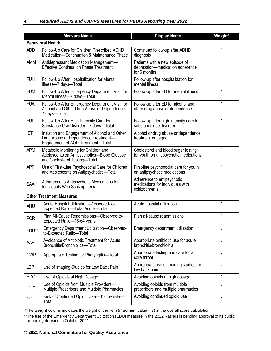|            | <b>Measure Name</b>                                                                                                        | <b>Display Name</b>                                                               | Weight*      |
|------------|----------------------------------------------------------------------------------------------------------------------------|-----------------------------------------------------------------------------------|--------------|
|            | <b>Behavioral Health</b>                                                                                                   |                                                                                   |              |
| <b>ADD</b> | Follow-Up Care for Children Prescribed ADHD<br>Medication-Continuation & Maintenance Phase                                 | Continued follow-up after ADHD<br>diagnosis                                       |              |
| AMM        | Antidepressant Medication Management-<br><b>Effective Continuation Phase Treatment</b>                                     | Patients with a new episode of<br>depression-medication adherence<br>for 6 months |              |
| <b>FUH</b> | Follow-Up After Hospitalization for Mental<br>Illness-7 days-Total                                                         | Follow-up after hospitalization for<br>mental illness                             | 1            |
| <b>FUM</b> | Follow-Up After Emergency Department Visit for<br>Mental Illness-7 days-Total                                              | Follow-up after ED for mental illness                                             | 1            |
| <b>FUA</b> | Follow-Up After Emergency Department Visit for<br>Alcohol and Other Drug Abuse or Dependence-<br>7 days-Total              | Follow-up after ED for alcohol and<br>other drug abuse or dependence              |              |
| <b>FUI</b> | Follow-Up After High-Intensity Care for<br>Substance Use Disorder-7 days-Total                                             | Follow-up after high-intensity care for<br>substance use disorder                 | 1            |
| <b>IET</b> | Initiation and Engagement of Alcohol and Other<br>Drug Abuse or Dependence Treatment-<br>Engagement of AOD Treatment-Total | Alcohol or drug abuse or dependence<br>treatment engaged                          | 1            |
| <b>APM</b> | Metabolic Monitoring for Children and<br>Adolescents on Antipsychotics-Blood Glucose<br>and Cholesterol Testing-Total      | Cholesterol and blood sugar testing<br>for youth on antipsychotic medications     | 1            |
| <b>APP</b> | Use of First-Line Psychosocial Care for Children<br>and Adolescents on Antipsychotics-Total                                | First-line psychosocial care for youth<br>on antipsychotic medications            | 1            |
| SAA        | Adherence to Antipsychotic Medications for<br>Individuals With Schizophrenia                                               | Adherence to antipsychotic<br>medications for individuals with<br>schizophrenia   | 1            |
|            | <b>Other Treatment Measures</b>                                                                                            |                                                                                   |              |
| <b>AHU</b> | Acute Hospital Utilization-Observed-to-<br>Expected Ratio-Total Acute-Total                                                | Acute hospital utilization                                                        |              |
| <b>PCR</b> | Plan All-Cause Readmissions-Observed-to-<br>Expected Ratio-18-64 years                                                     | Plan all-cause readmissions                                                       | 1            |
| EDU**      | <b>Emergency Department Utilization-Observed-</b><br>to-Expected Ratio-Total                                               | Emergency department utilization                                                  | $\mathbf{1}$ |
| AAB        | Avoidance of Antibiotic Treatment for Acute<br>Bronchitis/Bronchiolitis-Total                                              | Appropriate antibiotic use for acute<br>bronchitis/bronchiolitis                  | 1            |
| <b>CWP</b> | Appropriate Testing for Pharyngitis-Total                                                                                  | Appropriate testing and care for a<br>sore throat                                 | 1            |
| <b>LBP</b> | Use of Imaging Studies for Low Back Pain                                                                                   | Appropriate use of imaging studies for<br>low back pain                           | 1            |
| <b>HDO</b> | Use of Opioids at High Dosage                                                                                              | Avoiding opioids at high dosage                                                   | 1            |
| <b>UOP</b> | Use of Opioids from Multiple Providers-<br>Multiple Prescribers and Multiple Pharmacies                                    | Avoiding opioids from multiple<br>prescribers and multiple pharmacies             | 1            |
| COU        | Risk of Continued Opioid Use-31-day rate-<br>Total                                                                         | Avoiding continued opioid use                                                     | 1            |

\*\*The use of the Emergency Department Utilization (EDU) measure in the 2022 Ratings is pending approval of its public reporting decision in October 2021.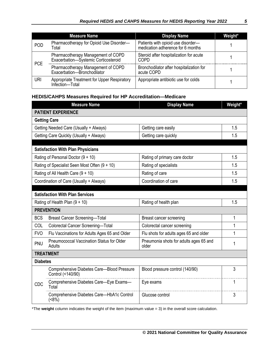|            | <b>Measure Name</b>                                                        | <b>Display Name</b>                                                     | Weight* |
|------------|----------------------------------------------------------------------------|-------------------------------------------------------------------------|---------|
| <b>POD</b> | Pharmacotherapy for Opioid Use Disorder-<br>Total                          | Patients with opioid use disorder-<br>medication adherence for 6 months |         |
| <b>PCE</b> | Pharmacotherapy Management of COPD<br>Exacerbation-Systemic Corticosteroid | Steroid after hospitalization for acute<br><b>COPD</b>                  |         |
|            | Pharmacotherapy Management of COPD<br>Exacerbation-Bronchodilator          | Bronchodilator after hospitalization for<br>acute COPD                  |         |
| URI        | Appropriate Treatment for Upper Respiratory<br>Infection-Total             | Appropriate antibiotic use for colds                                    |         |

# **HEDIS/CAHPS Measures Required for HP Accreditation—Medicare**

|                 | <b>Measure Name</b>                                             | <b>Display Name</b>                             | Weight* |
|-----------------|-----------------------------------------------------------------|-------------------------------------------------|---------|
|                 | <b>PATIENT EXPERIENCE</b>                                       |                                                 |         |
|                 | <b>Getting Care</b>                                             |                                                 |         |
|                 | Getting Needed Care (Usually + Always)                          | Getting care easily                             | 1.5     |
|                 | Getting Care Quickly (Usually + Always)                         | Getting care quickly                            | 1.5     |
|                 |                                                                 |                                                 |         |
|                 | <b>Satisfaction With Plan Physicians</b>                        |                                                 |         |
|                 | Rating of Personal Doctor (9 + 10)                              | Rating of primary care doctor                   | 1.5     |
|                 | Rating of Specialist Seen Most Often (9 + 10)                   | Rating of specialists                           | 1.5     |
|                 | Rating of All Health Care (9 + 10)                              | Rating of care                                  | 1.5     |
|                 | Coordination of Care (Usually + Always)                         | Coordination of care                            | 1.5     |
|                 |                                                                 |                                                 |         |
|                 | <b>Satisfaction With Plan Services</b>                          |                                                 |         |
|                 | Rating of Health Plan $(9 + 10)$                                | Rating of health plan                           | 1.5     |
|                 | <b>PREVENTION</b>                                               |                                                 |         |
| <b>BCS</b>      | <b>Breast Cancer Screening-Total</b>                            | Breast cancer screening                         | 1       |
| COL             | Colorectal Cancer Screening-Total                               | Colorectal cancer screening                     | 1       |
| <b>FVO</b>      | Flu Vaccinations for Adults Ages 65 and Older                   | Flu shots for adults ages 65 and older          | 1       |
| PNU             | Pneumococcal Vaccination Status for Older<br>Adults             | Pneumonia shots for adults ages 65 and<br>older | 1       |
|                 | <b>TREATMENT</b>                                                |                                                 |         |
| <b>Diabetes</b> |                                                                 |                                                 |         |
|                 | Comprehensive Diabetes Care-Blood Pressure<br>Control (<140/90) | Blood pressure control (140/90)                 | 3       |
| CDC             | Comprehensive Diabetes Care-Eye Exams-<br>Total                 | Eye exams                                       | 1       |
|                 | Comprehensive Diabetes Care-HbA1c Control<br>(<8%)              | Glucose control                                 | 3       |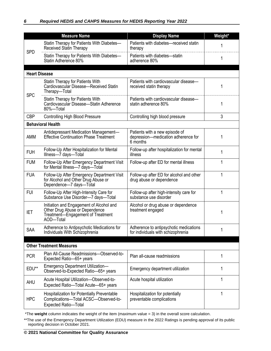|                      | <b>Measure Name</b>                                                                                                          | <b>Display Name</b>                                                               | Weight* |
|----------------------|------------------------------------------------------------------------------------------------------------------------------|-----------------------------------------------------------------------------------|---------|
|                      | Statin Therapy for Patients With Diabetes-<br>Received Statin Therapy                                                        | Patients with diabetes-received statin<br>therapy                                 |         |
| <b>SPD</b>           | Statin Therapy for Patients With Diabetes-<br>Statin Adherence 80%                                                           | Patients with diabetes-statin<br>adherence 80%                                    |         |
| <b>Heart Disease</b> |                                                                                                                              |                                                                                   |         |
|                      | Statin Therapy for Patients With<br>Cardiovascular Disease-Received Statin<br>Therapy-Total                                  | Patients with cardiovascular disease-<br>received statin therapy                  | 1       |
| <b>SPC</b>           | Statin Therapy for Patients With<br>Cardiovascular Disease-Statin Adherence<br>80%-Total                                     | Patients with cardiovascular disease-<br>statin adherence 80%                     | 1       |
| <b>CBP</b>           | <b>Controlling High Blood Pressure</b>                                                                                       | Controlling high blood pressure                                                   | 3       |
|                      | <b>Behavioral Health</b>                                                                                                     |                                                                                   |         |
| <b>AMM</b>           | Antidepressant Medication Management-<br><b>Effective Continuation Phase Treatment</b>                                       | Patients with a new episode of<br>depression-medication adherence for<br>6 months | 1       |
| <b>FUH</b>           | Follow-Up After Hospitalization for Mental<br>Illness-7 days-Total                                                           | Follow-up after hospitalization for mental<br>illness                             | 1       |
| <b>FUM</b>           | Follow-Up After Emergency Department Visit<br>for Mental Illness-7 days-Total                                                | Follow-up after ED for mental illness                                             | 1       |
| <b>FUA</b>           | Follow-Up After Emergency Department Visit<br>for Alcohol and Other Drug Abuse or<br>Dependence-7 days-Total                 | Follow-up after ED for alcohol and other<br>drug abuse or dependence              | 1       |
| <b>FUI</b>           | Follow-Up After High-Intensity Care for<br>Substance Use Disorder-7 days-Total                                               | Follow-up after high-intensity care for<br>substance use disorder                 | 1       |
| IET                  | Initiation and Engagement of Alcohol and<br>Other Drug Abuse or Dependence<br>Treatment-Engagement of Treatment<br>AOD-Total | Alcohol or drug abuse or dependence<br>treatment engaged                          | 1       |
| SAA                  | Adherence to Antipsychotic Medications for<br>Individuals With Schizophrenia                                                 | Adherence to antipsychotic medications<br>for individuals with schizophrenia      | 1       |
|                      | <b>Other Treatment Measures</b>                                                                                              |                                                                                   |         |
| <b>PCR</b>           | Plan All-Cause Readmissions-Observed-to-<br>Expected Ratio-65+ years                                                         | Plan all-cause readmissions                                                       | 1       |
| EDU**                | <b>Emergency Department Utilization-</b><br>Observed-to-Expected Ratio-65+ years                                             | Emergency department utilization                                                  | 1       |
| <b>AHU</b>           | Acute Hospital Utilization-Observed-to-<br>Expected Ratio-Total Acute-65+ years                                              | Acute hospital utilization                                                        | 1       |
| <b>HPC</b>           | Hospitalization for Potentially Preventable<br>Complications-Total ACSC-Observed-to-<br><b>Expected Ratio-Total</b>          | Hospitalization for potentially<br>preventable complications                      | 1       |

<sup>\*\*</sup>The use of the Emergency Department Utilization (EDU) measure in the 2022 Ratings is pending approval of its public reporting decision in October 2021.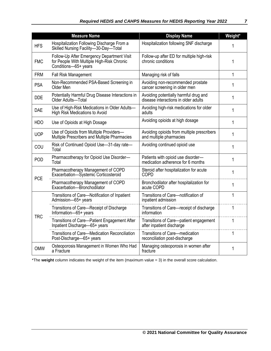|            | <b>Measure Name</b>                                                                                              | <b>Display Name</b>                                                           | Weight* |
|------------|------------------------------------------------------------------------------------------------------------------|-------------------------------------------------------------------------------|---------|
| <b>HFS</b> | Hospitalization Following Discharge From a<br>Skilled Nursing Facility-30-Day-Total                              | Hospitalization following SNF discharge                                       | 1       |
| <b>FMC</b> | Follow-Up After Emergency Department Visit<br>for People With Multiple High-Risk Chronic<br>Conditions-65+ years | Follow-up after ED for multiple high-risk<br>chronic conditions               | 1       |
| <b>FRM</b> | <b>Fall Risk Management</b>                                                                                      | Managing risk of falls                                                        | 1       |
| <b>PSA</b> | Non-Recommended PSA-Based Screening in<br>Older Men                                                              | Avoiding non-recommended prostate<br>cancer screening in older men            | 1       |
| <b>DDE</b> | Potentially Harmful Drug Disease Interactions in<br>Older Adults-Total                                           | Avoiding potentially harmful drug and<br>disease interactions in older adults | 1       |
| <b>DAE</b> | Use of High-Risk Medications in Older Adults-<br><b>High Risk Medications to Avoid</b>                           | Avoiding high-risk medications for older<br>adults                            | 1       |
| <b>HDO</b> | Use of Opioids at High Dosage                                                                                    | Avoiding opioids at high dosage                                               | 1       |
| <b>UOP</b> | Use of Opioids from Multiple Providers-<br>Multiple Prescribers and Multiple Pharmacies                          | Avoiding opioids from multiple prescribers<br>and multiple pharmacies         | 1       |
| COU        | Risk of Continued Opioid Use-31-day rate-<br>Total                                                               | Avoiding continued opioid use                                                 | 1       |
| <b>POD</b> | Pharmacotherapy for Opioid Use Disorder-<br>Total                                                                | Patients with opioid use disorder-<br>medication adherence for 6 months       | 1       |
| <b>PCE</b> | Pharmacotherapy Management of COPD<br>Exacerbation-Systemic Corticosteroid                                       | Steroid after hospitalization for acute<br><b>COPD</b>                        | 1       |
|            | Pharmacotherapy Management of COPD<br>Exacerbation-Bronchodilator                                                | Bronchodilator after hospitalization for<br>acute COPD                        | 1       |
|            | Transitions of Care-Notification of Inpatient<br>Admission-65+ years                                             | Transitions of Care-notification of<br>inpatient admission                    | 1       |
| <b>TRC</b> | Transitions of Care-Receipt of Discharge<br>Information-65+ years                                                | Transitions of Care-receipt of discharge<br>information                       | 1       |
|            | Transitions of Care-Patient Engagement After<br>Inpatient Discharge-65+ years                                    | Transitions of Care-patient engagement<br>after inpatient discharge           | 1       |
|            | Transitions of Care-Medication Reconciliation<br>Post-Discharge-65+ years                                        | Transitions of Care-medication<br>reconciliation post-discharge               | 1       |
| <b>OMW</b> | Osteoporosis Management in Women Who Had<br>a Fracture                                                           | Managing osteoporosis in women after<br>fracture                              | 1       |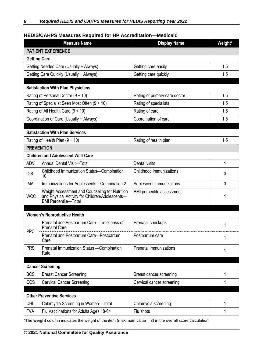## **HEDIS/CAHPS Measures Required for HP Accreditation—Medicaid**

|                     | <b>Measure Name</b>                                                                                                              | <b>Display Name</b>              | Weight* |
|---------------------|----------------------------------------------------------------------------------------------------------------------------------|----------------------------------|---------|
|                     | <b>PATIENT EXPERIENCE</b>                                                                                                        |                                  |         |
| <b>Getting Care</b> |                                                                                                                                  |                                  |         |
|                     | Getting Needed Care (Usually + Always)                                                                                           | Getting care easily              | 1.5     |
|                     | Getting Care Quickly (Usually + Always)                                                                                          | Getting care quickly             | 1.5     |
|                     |                                                                                                                                  |                                  |         |
|                     | <b>Satisfaction With Plan Physicians</b>                                                                                         |                                  |         |
|                     | Rating of Personal Doctor $(9 + 10)$                                                                                             | Rating of primary care doctor    | 1.5     |
|                     | Rating of Specialist Seen Most Often $(9 + 10)$                                                                                  | Rating of specialists            | 1.5     |
|                     | Rating of All Health Care (9 + 10)                                                                                               | Rating of care                   | 1.5     |
|                     | Coordination of Care (Usually + Always)                                                                                          | Coordination of care             | 1.5     |
|                     | <b>Satisfaction With Plan Services</b>                                                                                           |                                  |         |
|                     | Rating of Health Plan $(9 + 10)$                                                                                                 | Rating of health plan            | 1.5     |
| <b>PREVENTION</b>   |                                                                                                                                  |                                  |         |
|                     | <b>Children and Adolescent Well-Care</b>                                                                                         |                                  |         |
| <b>ADV</b>          | Annual Dental Visit-Total                                                                                                        | Dental visits                    | 1       |
|                     | Childhood Immunization Status-Combination                                                                                        | Childhood immunizations          |         |
| <b>CIS</b>          | 10                                                                                                                               |                                  | 3       |
| <b>IMA</b>          | Immunizations for Adolescents-Combination 2                                                                                      | Adolescent immunizations         | 3       |
| <b>WCC</b>          | Weight Assessment and Counseling for Nutrition<br>and Physical Activity for Children/Adolescents-<br><b>BMI Percentile-Total</b> | <b>BMI</b> percentile assessment |         |
|                     |                                                                                                                                  |                                  |         |
|                     | <b>Women's Reproductive Health</b>                                                                                               |                                  |         |
| <b>PPC</b>          | Prenatal and Postpartum Care-Timeliness of<br><b>Prenatal Care</b>                                                               | Prenatal checkups                | 1       |
|                     | Prenatal and Postpartum Care-Postpartum<br>Care                                                                                  | Postpartum care                  | 1       |
| <b>PRS</b>          | Prenatal Immunization Status - Combination<br>Rate                                                                               | Prenatal immunizations           | 1       |
|                     |                                                                                                                                  |                                  |         |
|                     | <b>Cancer Screening</b>                                                                                                          |                                  |         |
| <b>BCS</b>          | <b>Breast Cancer Screening</b>                                                                                                   | Breast cancer screening          | 1       |
| CCS                 | <b>Cervical Cancer Screening</b>                                                                                                 | Cervical cancer screening        | 1       |
|                     | <b>Other Preventive Services</b>                                                                                                 |                                  |         |
| <b>CHL</b>          | Chlamydia Screening in Women-Total                                                                                               | Chlamydia screening              | 1       |
| <b>FVA</b>          | Flu Vaccinations for Adults Ages 18-64                                                                                           | Flu shots                        | 1       |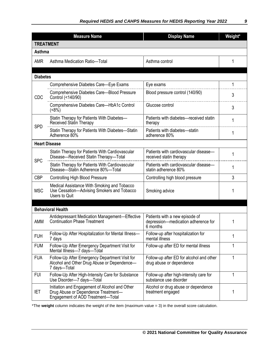|                  | <b>Measure Name</b>                                                                                                        | <b>Display Name</b>                                                               | Weight* |
|------------------|----------------------------------------------------------------------------------------------------------------------------|-----------------------------------------------------------------------------------|---------|
| <b>TREATMENT</b> |                                                                                                                            |                                                                                   |         |
| <b>Asthma</b>    |                                                                                                                            |                                                                                   |         |
| <b>AMR</b>       | Asthma Medication Ratio-Total                                                                                              | Asthma control                                                                    | 1       |
| <b>Diabetes</b>  |                                                                                                                            |                                                                                   |         |
|                  | Comprehensive Diabetes Care-Eye Exams                                                                                      | Eye exams                                                                         | 1       |
| <b>CDC</b>       | Comprehensive Diabetes Care-Blood Pressure<br>Control (<140/90)                                                            | Blood pressure control (140/90)                                                   | 3       |
|                  | Comprehensive Diabetes Care-HbA1c Control<br>(<8%)                                                                         | Glucose control                                                                   | 3       |
|                  | Statin Therapy for Patients With Diabetes-<br><b>Received Statin Therapy</b>                                               | Patients with diabetes-received statin<br>therapy                                 | 1       |
| <b>SPD</b>       | Statin Therapy for Patients With Diabetes-Statin<br>Adherence 80%                                                          | Patients with diabetes-statin<br>adherence 80%                                    | 1       |
|                  | <b>Heart Disease</b>                                                                                                       |                                                                                   |         |
|                  | Statin Therapy for Patients With Cardiovascular<br>Disease-Received Statin Therapy-Total                                   | Patients with cardiovascular disease-<br>received statin therapy                  |         |
| <b>SPC</b>       | Statin Therapy for Patients With Cardiovascular<br>Disease-Statin Adherence 80%-Total                                      | Patients with cardiovascular disease-<br>statin adherence 80%                     | 1       |
| <b>CBP</b>       | <b>Controlling High Blood Pressure</b>                                                                                     | Controlling high blood pressure                                                   | 3       |
| <b>MSC</b>       | Medical Assistance With Smoking and Tobacco<br>Use Cessation-Advising Smokers and Tobacco<br>Users to Quit                 | Smoking advice                                                                    |         |
|                  |                                                                                                                            |                                                                                   |         |
| AMM              | <b>Behavioral Health</b><br>Antidepressant Medication Management-Effective<br><b>Continuation Phase Treatment</b>          | Patients with a new episode of<br>depression-medication adherence for<br>6 months |         |
| <b>FUH</b>       | Follow-Up After Hospitalization for Mental Illness-<br>7 days                                                              | Follow-up after hospitalization for<br>mental illness                             | 1       |
| <b>FUM</b>       | Follow-Up After Emergency Department Visit for<br>Mental Illness-7 days-Total                                              | Follow-up after ED for mental illness                                             | 1       |
| <b>FUA</b>       | Follow-Up After Emergency Department Visit for<br>Alcohol and Other Drug Abuse or Dependence-<br>7 days-Total              | Follow-up after ED for alcohol and other<br>drug abuse or dependence              | 1       |
| <b>FUI</b>       | Follow-Up After High-Intensity Care for Substance<br>Use Disorder-7 days-Total                                             | Follow-up after high-intensity care for<br>substance use disorder                 | 1       |
| <b>IET</b>       | Initiation and Engagement of Alcohol and Other<br>Drug Abuse or Dependence Treatment-<br>Engagement of AOD Treatment-Total | Alcohol or drug abuse or dependence<br>treatment engaged                          | 1       |